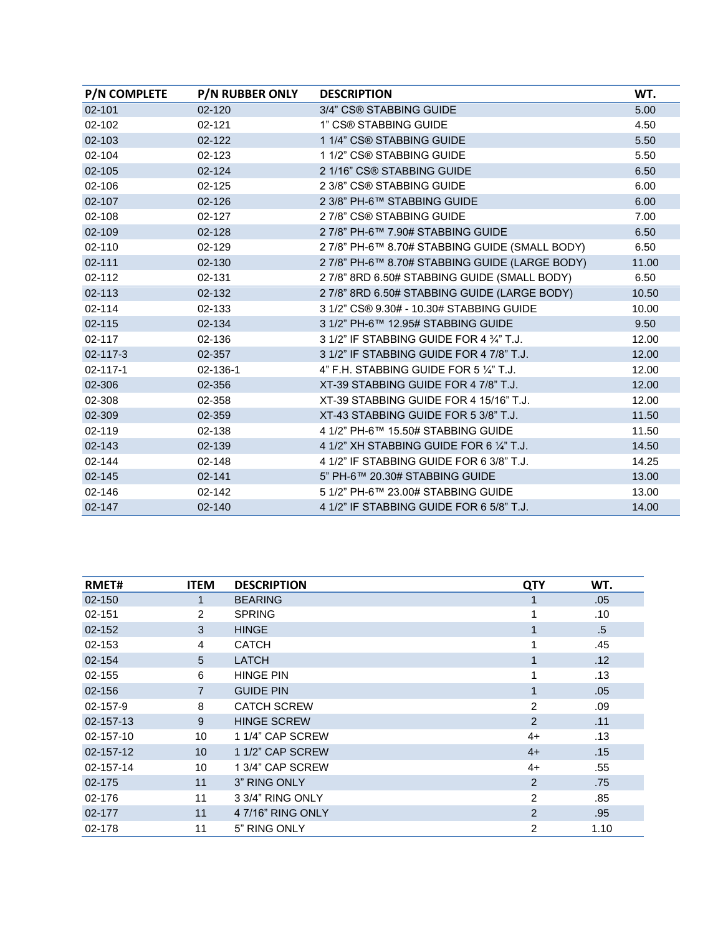| <b>P/N COMPLETE</b> | <b>P/N RUBBER ONLY</b> | <b>DESCRIPTION</b>                                | WT.   |
|---------------------|------------------------|---------------------------------------------------|-------|
| $02 - 101$          | $02 - 120$             | 3/4" CS® STABBING GUIDE                           | 5.00  |
| 02-102              | $02 - 121$             | 1" CS® STABBING GUIDE                             | 4.50  |
| 02-103              | $02 - 122$             | 1 1/4" CS® STABBING GUIDE                         | 5.50  |
| 02-104              | 02-123                 | 1 1/2" CS® STABBING GUIDE                         | 5.50  |
| 02-105              | $02 - 124$             | 2 1/16" CS® STABBING GUIDE                        | 6.50  |
| 02-106              | $02 - 125$             | 2 3/8" CS® STABBING GUIDE                         | 6.00  |
| 02-107              | 02-126                 | 2 3/8" PH-6™ STABBING GUIDE                       | 6.00  |
| 02-108              | 02-127                 | 27/8" CS® STABBING GUIDE                          | 7.00  |
| 02-109              | $02 - 128$             | 2 7/8" PH-6™ 7.90# STABBING GUIDE                 | 6.50  |
| $02 - 110$          | 02-129                 | 2 7/8" PH-6™ 8.70# STABBING GUIDE (SMALL BODY)    | 6.50  |
| $02 - 111$          | 02-130                 | 2 7/8" PH-6™ 8.70# STABBING GUIDE (LARGE BODY)    | 11.00 |
| 02-112              | 02-131                 | 27/8" 8RD 6.50# STABBING GUIDE (SMALL BODY)       | 6.50  |
| $02 - 113$          | 02-132                 | 27/8" 8RD 6.50# STABBING GUIDE (LARGE BODY)       | 10.50 |
| 02-114              | 02-133                 | 3 1/2" CS® 9.30# - 10.30# STABBING GUIDE          | 10.00 |
| 02-115              | 02-134                 | 3 1/2" PH-6™ 12.95# STABBING GUIDE                | 9.50  |
| 02-117              | 02-136                 | 3 1/2" IF STABBING GUIDE FOR 4 3/4" T.J.          | 12.00 |
| 02-117-3            | 02-357                 | 3 1/2" IF STABBING GUIDE FOR 4 7/8" T.J.          | 12.00 |
| $02 - 117 - 1$      | 02-136-1               | 4" F.H. STABBING GUIDE FOR 5 $\frac{1}{4}$ " T.J. | 12.00 |
| 02-306              | 02-356                 | XT-39 STABBING GUIDE FOR 4 7/8" T.J.              | 12.00 |
| 02-308              | 02-358                 | XT-39 STABBING GUIDE FOR 4 15/16" T.J.            | 12.00 |
| 02-309              | 02-359                 | XT-43 STABBING GUIDE FOR 5 3/8" T.J.              | 11.50 |
| 02-119              | 02-138                 | 4 1/2" PH-6™ 15.50# STABBING GUIDE                | 11.50 |
| 02-143              | 02-139                 | 4 1/2" XH STABBING GUIDE FOR 6 1/4" T.J.          | 14.50 |
| 02-144              | 02-148                 | 4 1/2" IF STABBING GUIDE FOR 6 3/8" T.J.          | 14.25 |
| 02-145              | 02-141                 | 5" PH-6™ 20.30# STABBING GUIDE                    | 13.00 |
| 02-146              | $02 - 142$             | 5 1/2" PH-6™ 23.00# STABBING GUIDE                | 13.00 |
| 02-147              | $02 - 140$             | 4 1/2" IF STABBING GUIDE FOR 6 5/8" T.J.          | 14.00 |

| <b>RMET#</b> | <b>ITEM</b>     | <b>DESCRIPTION</b> | <b>QTY</b>     | WT.    |
|--------------|-----------------|--------------------|----------------|--------|
| 02-150       |                 | <b>BEARING</b>     |                | .05    |
| 02-151       | $\overline{2}$  | <b>SPRING</b>      |                | .10    |
| 02-152       | 3               | <b>HINGE</b>       | 1              | $.5\,$ |
| 02-153       | 4               | <b>CATCH</b>       |                | .45    |
| 02-154       | 5               | <b>LATCH</b>       | 1              | .12    |
| 02-155       | 6               | <b>HINGE PIN</b>   | 1              | .13    |
| 02-156       | $\overline{7}$  | <b>GUIDE PIN</b>   | 1              | .05    |
| 02-157-9     | 8               | <b>CATCH SCREW</b> | 2              | .09    |
| 02-157-13    | 9               | <b>HINGE SCREW</b> | 2              | .11    |
| 02-157-10    | 10              | 1 1/4" CAP SCREW   | $4+$           | .13    |
| 02-157-12    | 10 <sup>1</sup> | 1 1/2" CAP SCREW   | $4+$           | .15    |
| 02-157-14    | 10              | 1 3/4" CAP SCREW   | $4+$           | .55    |
| 02-175       | 11              | 3" RING ONLY       | $\overline{2}$ | .75    |
| 02-176       | 11              | 3 3/4" RING ONLY   | 2              | .85    |
| 02-177       | 11              | 4 7/16" RING ONLY  | $\overline{2}$ | .95    |
| 02-178       | 11              | 5" RING ONLY       | $\overline{2}$ | 1.10   |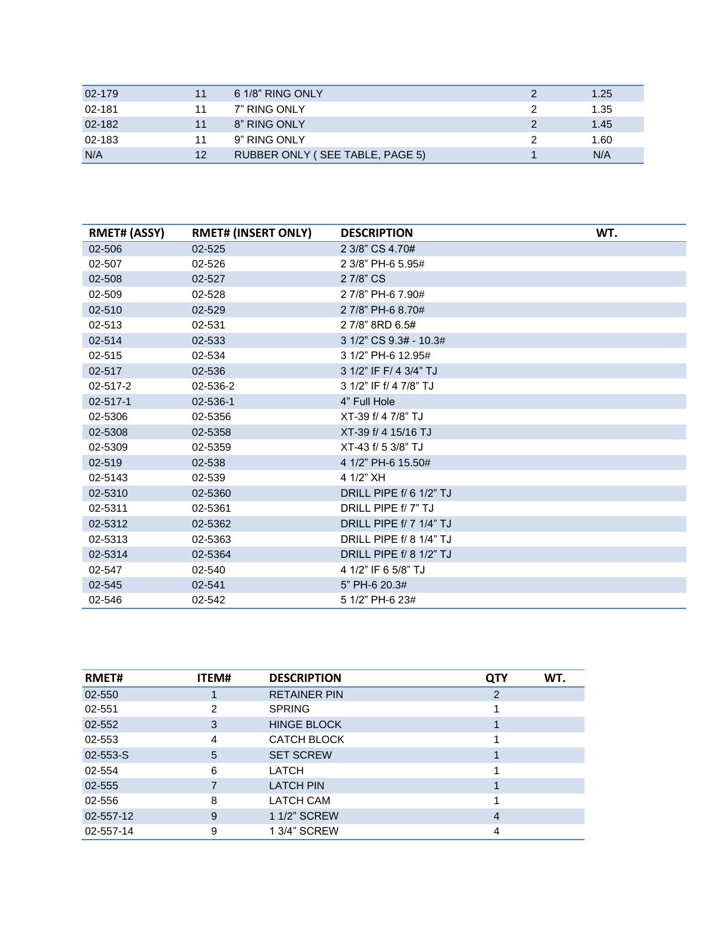| 02-179     |    | 6 1/8" RING ONLY                | 1.25 |
|------------|----|---------------------------------|------|
| 02-181     |    | 7" RING ONLY                    | 1.35 |
| $02 - 182$ |    | 8" RING ONLY                    | 1.45 |
| 02-183     |    | 9" RING ONLY                    | 1.60 |
| N/A        | 12 | RUBBER ONLY (SEE TABLE, PAGE 5) | N/A  |

| <b>RMET# (ASSY)</b> | <b>RMET# (INSERT ONLY)</b> | <b>DESCRIPTION</b>             | WT. |
|---------------------|----------------------------|--------------------------------|-----|
| 02-506              | 02-525                     | 2 3/8" CS 4.70#                |     |
| 02-507              | 02-526                     | 2 3/8" PH-6 5.95#              |     |
| 02-508              | 02-527                     | 2 7/8" CS                      |     |
| 02-509              | 02-528                     | 2 7/8" PH-6 7.90#              |     |
| 02-510              | 02-529                     | 2 7/8" PH-6 8.70#              |     |
| 02-513              | 02-531                     | 2 7/8" 8RD 6.5#                |     |
| 02-514              | 02-533                     | 3 1/2" CS 9.3# - 10.3#         |     |
| 02-515              | 02-534                     | 3 1/2" PH-6 12.95#             |     |
| 02-517              | 02-536                     | 3 1/2" IF F/ 4 3/4" TJ         |     |
| 02-517-2            | 02-536-2                   | 3 1/2" IF f/ 4 7/8" TJ         |     |
| 02-517-1            | 02-536-1                   | 4" Full Hole                   |     |
| 02-5306             | 02-5356                    | XT-39 f/ 4 7/8" TJ             |     |
| 02-5308             | 02-5358                    | XT-39 f/ 4 15/16 TJ            |     |
| 02-5309             | 02-5359                    | XT-43 f/ 5 3/8" TJ             |     |
| 02-519              | 02-538                     | 4 1/2" PH-6 15.50#             |     |
| 02-5143             | 02-539                     | 4 1/2" XH                      |     |
| 02-5310             | 02-5360                    | DRILL PIPE f/ 6 1/2" TJ        |     |
| 02-5311             | 02-5361                    | DRILL PIPE f/ 7" TJ            |     |
| 02-5312             | 02-5362                    | DRILL PIPE f/ 7 1/4" TJ        |     |
| 02-5313             | 02-5363                    | <b>DRILL PIPE f/ 8 1/4" TJ</b> |     |
| 02-5314             | 02-5364                    | DRILL PIPE f/ 8 1/2" TJ        |     |
| 02-547              | 02-540                     | 4 1/2" IF 6 5/8" TJ            |     |
| 02-545              | 02-541                     | 5" PH-6 20.3#                  |     |
| 02-546              | 02-542                     | 5 1/2" PH-6 23#                |     |

| RMET#     | <b>ITEM#</b> | <b>DESCRIPTION</b>  | WT.<br><b>QTY</b> |  |
|-----------|--------------|---------------------|-------------------|--|
| 02-550    |              | <b>RETAINER PIN</b> | 2                 |  |
| 02-551    | 2            | <b>SPRING</b>       |                   |  |
| 02-552    | 3            | <b>HINGE BLOCK</b>  |                   |  |
| 02-553    | 4            | <b>CATCH BLOCK</b>  |                   |  |
| 02-553-S  | 5            | <b>SET SCREW</b>    |                   |  |
| 02-554    | 6            | LATCH               |                   |  |
| 02-555    |              | <b>LATCH PIN</b>    |                   |  |
| 02-556    | 8            | <b>LATCH CAM</b>    |                   |  |
| 02-557-12 | 9            | 1 1/2" SCREW        | 4                 |  |
| 02-557-14 | 9            | 1 3/4" SCREW        | 4                 |  |